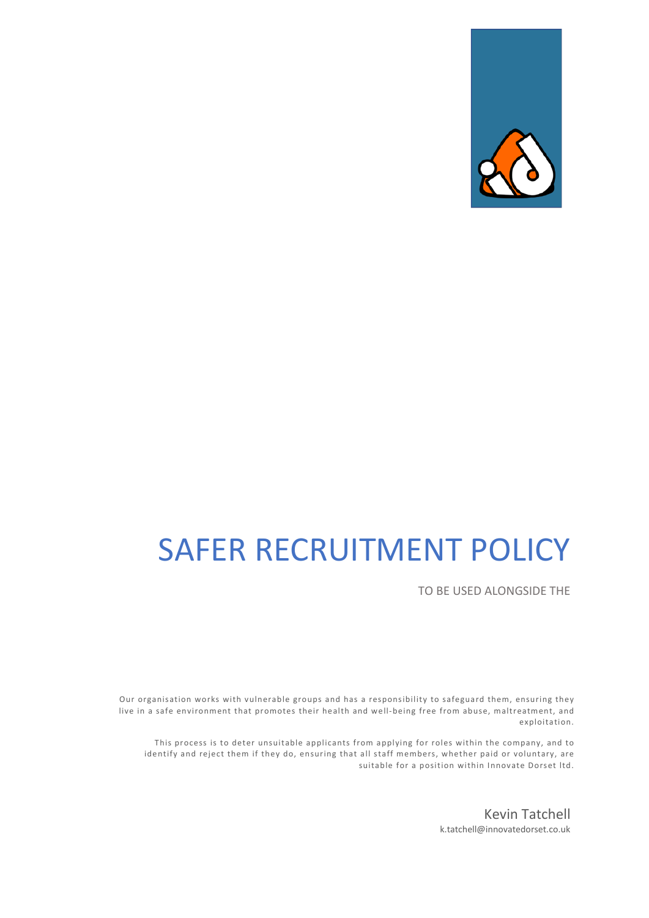

# SAFER RECRUITMENT POLICY

TO BE USED ALONGSIDE THE

Our organisation works with vulnerable groups and has a responsibility to safeguard them, ensuring they live in a safe environment that promotes their health and well-being free from abuse, maltreatment, and exploitation.

This process is to deter unsuitable applicants from applying for roles within the company, and to identify and reject them if they do, ensuring that all staff members, whether paid or voluntary, are suitable for a position within Innovate Dorset ltd.

> Kevin Tatchell k.tatchell@innovatedorset.co.uk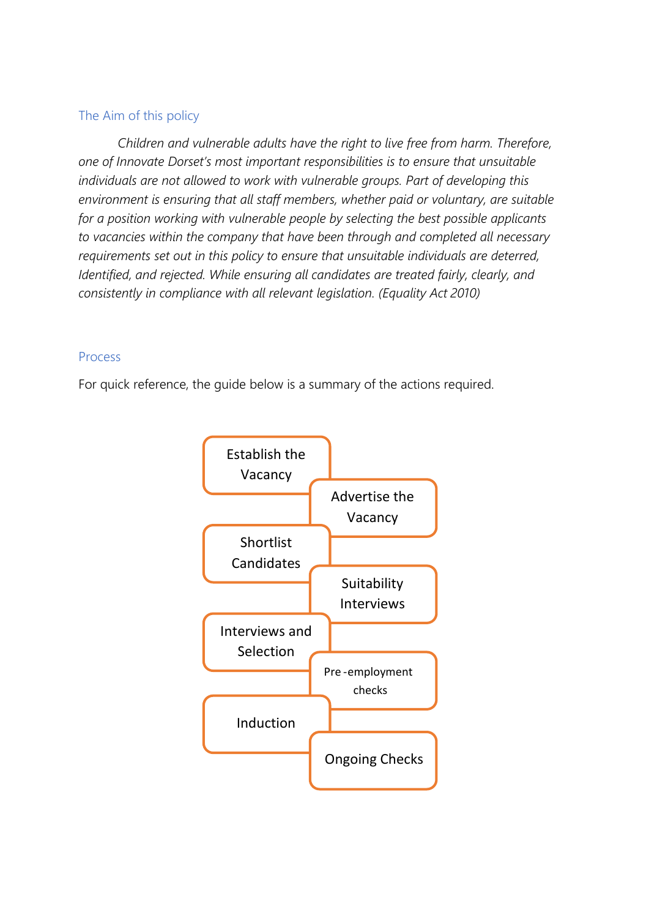# The Aim of this policy

*Children and vulnerable adults have the right to live free from harm. Therefore, one of Innovate Dorset's most important responsibilities is to ensure that unsuitable individuals are not allowed to work with vulnerable groups. Part of developing this environment is ensuring that all staff members, whether paid or voluntary, are suitable for a position working with vulnerable people by selecting the best possible applicants to vacancies within the company that have been through and completed all necessary requirements set out in this policy to ensure that unsuitable individuals are deterred, Identified, and rejected. While ensuring all candidates are treated fairly, clearly, and consistently in compliance with all relevant legislation. (Equality Act 2010)*

# Process

For quick reference, the guide below is a summary of the actions required.

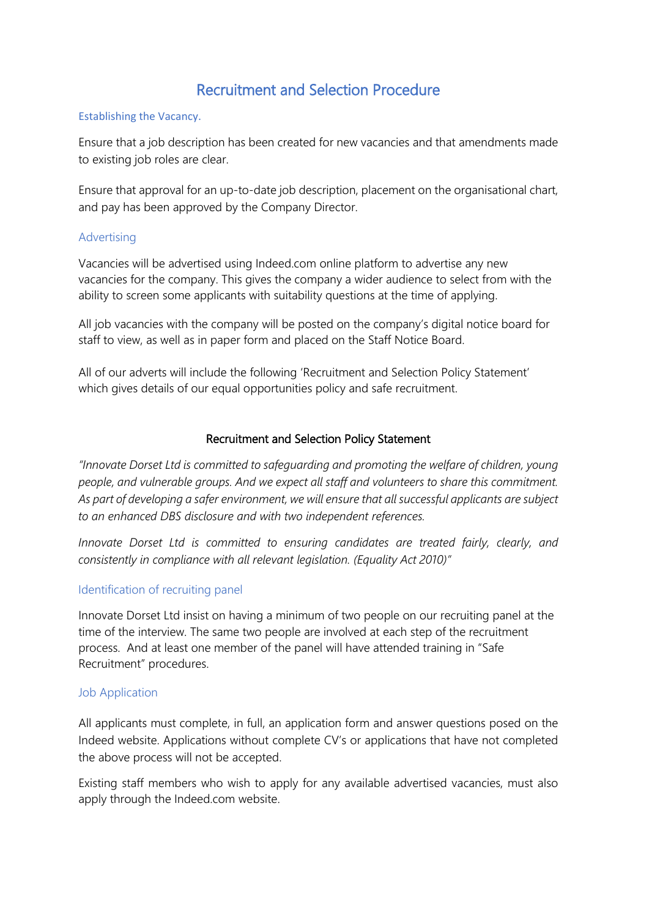# Recruitment and Selection Procedure

#### Establishing the Vacancy.

Ensure that a job description has been created for new vacancies and that amendments made to existing job roles are clear.

Ensure that approval for an up-to-date job description, placement on the organisational chart, and pay has been approved by the Company Director.

#### Advertising

Vacancies will be advertised using Indeed.com online platform to advertise any new vacancies for the company. This gives the company a wider audience to select from with the ability to screen some applicants with suitability questions at the time of applying.

All job vacancies with the company will be posted on the company's digital notice board for staff to view, as well as in paper form and placed on the Staff Notice Board.

All of our adverts will include the following 'Recruitment and Selection Policy Statement' which gives details of our equal opportunities policy and safe recruitment.

#### Recruitment and Selection Policy Statement

*"Innovate Dorset Ltd is committed to safeguarding and promoting the welfare of children, young people, and vulnerable groups. And we expect all staff and volunteers to share this commitment. As part of developing a safer environment, we will ensure that all successful applicants are subject to an enhanced DBS disclosure and with two independent references.*

*Innovate Dorset Ltd is committed to ensuring candidates are treated fairly, clearly, and consistently in compliance with all relevant legislation. (Equality Act 2010)"*

#### Identification of recruiting panel

Innovate Dorset Ltd insist on having a minimum of two people on our recruiting panel at the time of the interview. The same two people are involved at each step of the recruitment process. And at least one member of the panel will have attended training in "Safe Recruitment" procedures.

#### Job Application

All applicants must complete, in full, an application form and answer questions posed on the Indeed website. Applications without complete CV's or applications that have not completed the above process will not be accepted.

Existing staff members who wish to apply for any available advertised vacancies, must also apply through the Indeed.com website.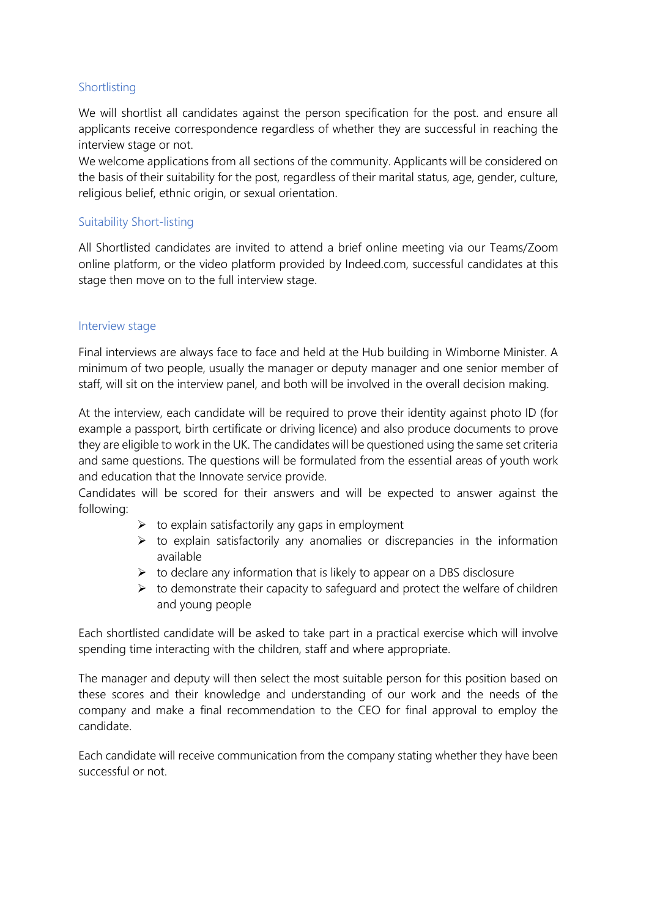# Shortlisting

We will shortlist all candidates against the person specification for the post. and ensure all applicants receive correspondence regardless of whether they are successful in reaching the interview stage or not.

We welcome applications from all sections of the community. Applicants will be considered on the basis of their suitability for the post, regardless of their marital status, age, gender, culture, religious belief, ethnic origin, or sexual orientation.

## Suitability Short-listing

All Shortlisted candidates are invited to attend a brief online meeting via our Teams/Zoom online platform, or the video platform provided by Indeed.com, successful candidates at this stage then move on to the full interview stage.

#### Interview stage

Final interviews are always face to face and held at the Hub building in Wimborne Minister. A minimum of two people, usually the manager or deputy manager and one senior member of staff, will sit on the interview panel, and both will be involved in the overall decision making.

At the interview, each candidate will be required to prove their identity against photo ID (for example a passport, birth certificate or driving licence) and also produce documents to prove they are eligible to work in the UK. The candidates will be questioned using the same set criteria and same questions. The questions will be formulated from the essential areas of youth work and education that the Innovate service provide.

Candidates will be scored for their answers and will be expected to answer against the following:

- $\triangleright$  to explain satisfactorily any gaps in employment
- $\triangleright$  to explain satisfactorily any anomalies or discrepancies in the information available
- $\triangleright$  to declare any information that is likely to appear on a DBS disclosure
- $\triangleright$  to demonstrate their capacity to safeguard and protect the welfare of children and young people

Each shortlisted candidate will be asked to take part in a practical exercise which will involve spending time interacting with the children, staff and where appropriate.

The manager and deputy will then select the most suitable person for this position based on these scores and their knowledge and understanding of our work and the needs of the company and make a final recommendation to the CEO for final approval to employ the candidate.

Each candidate will receive communication from the company stating whether they have been successful or not.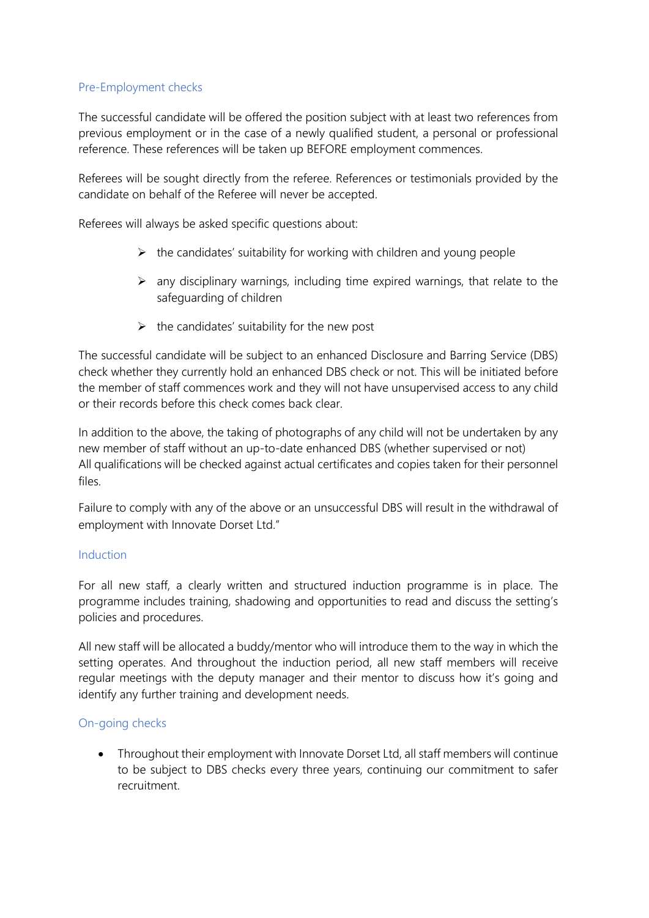## Pre-Employment checks

The successful candidate will be offered the position subject with at least two references from previous employment or in the case of a newly qualified student, a personal or professional reference. These references will be taken up BEFORE employment commences.

Referees will be sought directly from the referee. References or testimonials provided by the candidate on behalf of the Referee will never be accepted.

Referees will always be asked specific questions about:

- $\triangleright$  the candidates' suitability for working with children and young people
- $\triangleright$  any disciplinary warnings, including time expired warnings, that relate to the safeguarding of children
- $\triangleright$  the candidates' suitability for the new post

The successful candidate will be subject to an enhanced Disclosure and Barring Service (DBS) check whether they currently hold an enhanced DBS check or not. This will be initiated before the member of staff commences work and they will not have unsupervised access to any child or their records before this check comes back clear.

In addition to the above, the taking of photographs of any child will not be undertaken by any new member of staff without an up-to-date enhanced DBS (whether supervised or not) All qualifications will be checked against actual certificates and copies taken for their personnel files.

Failure to comply with any of the above or an unsuccessful DBS will result in the withdrawal of employment with Innovate Dorset Ltd."

#### Induction

For all new staff, a clearly written and structured induction programme is in place. The programme includes training, shadowing and opportunities to read and discuss the setting's policies and procedures.

All new staff will be allocated a buddy/mentor who will introduce them to the way in which the setting operates. And throughout the induction period, all new staff members will receive regular meetings with the deputy manager and their mentor to discuss how it's going and identify any further training and development needs.

### On-going checks

• Throughout their employment with Innovate Dorset Ltd, all staff members will continue to be subject to DBS checks every three years, continuing our commitment to safer recruitment.